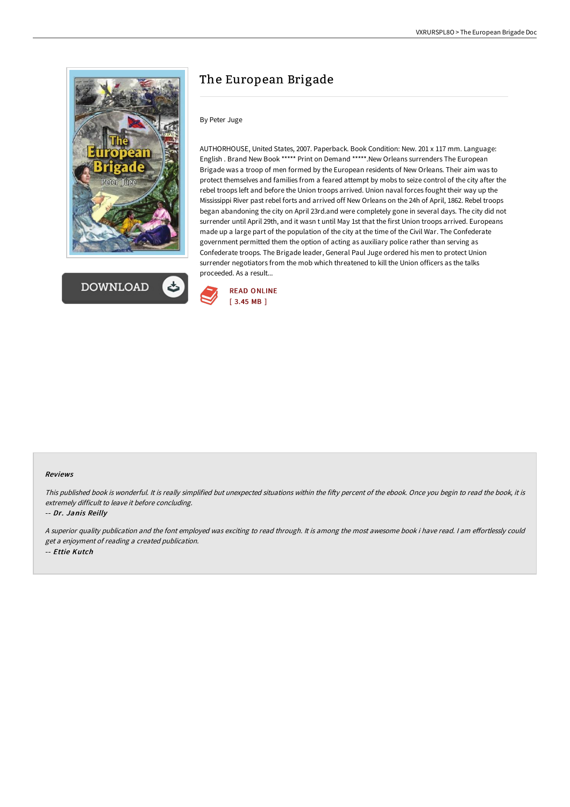

**DOWNLOAD** 

# The European Brigade

# By Peter Juge

AUTHORHOUSE, United States, 2007. Paperback. Book Condition: New. 201 x 117 mm. Language: English . Brand New Book \*\*\*\*\* Print on Demand \*\*\*\*\*.New Orleans surrenders The European Brigade was a troop of men formed by the European residents of New Orleans. Their aim was to protect themselves and families from a feared attempt by mobs to seize control of the city after the rebel troops left and before the Union troops arrived. Union naval forces fought their way up the Mississippi River past rebel forts and arrived off New Orleans on the 24h of April, 1862. Rebel troops began abandoning the city on April 23rd.and were completely gone in several days. The city did not surrender until April 29th, and it wasn t until May 1st that the first Union troops arrived. Europeans made up a large part of the population of the city at the time of the Civil War. The Confederate government permitted them the option of acting as auxiliary police rather than serving as Confederate troops. The Brigade leader, General Paul Juge ordered his men to protect Union surrender negotiators from the mob which threatened to kill the Union officers as the talks proceeded. As a result...



#### Reviews

This published book is wonderful. It is really simplified but unexpected situations within the fifty percent of the ebook. Once you begin to read the book, it is extremely difficult to leave it before concluding.

-- Dr. Janis Reilly

A superior quality publication and the font employed was exciting to read through. It is among the most awesome book i have read. I am effortlessly could get <sup>a</sup> enjoyment of reading <sup>a</sup> created publication. -- Ettie Kutch